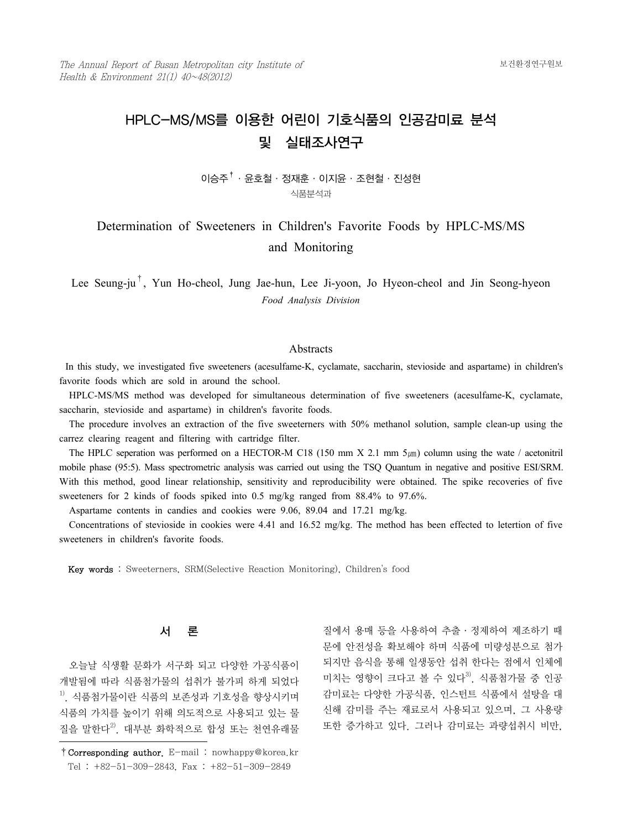# HPLC-MS/MS를 이용한 어린이 기호식품의 인공감미료 분석 및 실태조사연구

## $0$  ) 승주 $\dagger$  · 윤호철 · 정재훈 · 이지윤 · 조현철 · 진성현 식품분석과

## Determination of Sweeteners in Children's Favorite Foods by HPLC-MS/MS and Monitoring

Lee Seung-ju<sup>†</sup>, Yun Ho-cheol, Jung Jae-hun, Lee Ji-yoon, Jo Hyeon-cheol and Jin Seong-hyeon *Food Analysis Division*

#### **Abstracts**

In this study, we investigated five sweeteners (acesulfame-K, cyclamate, saccharin, stevioside and aspartame) in children's favorite foods which are sold in around the school.

 HPLC-MS/MS method was developed for simultaneous determination of five sweeteners (acesulfame-K, cyclamate, saccharin, stevioside and aspartame) in children's favorite foods.

 The procedure involves an extraction of the five sweeterners with 50% methanol solution, sample clean-up using the carrez clearing reagent and filtering with cartridge filter.

The HPLC seperation was performed on a HECTOR-M C18 (150 mm X 2.1 mm  $5 \mu m$ ) column using the wate / acetonitril mobile phase (95:5). Mass spectrometric analysis was carried out using the TSQ Quantum in negative and positive ESI/SRM. With this method, good linear relationship, sensitivity and reproducibility were obtained. The spike recoveries of five sweeteners for 2 kinds of foods spiked into 0.5 mg/kg ranged from 88.4% to 97.6%.

Aspartame contents in candies and cookies were 9.06, 89.04 and 17.21 mg/kg.

 Concentrations of stevioside in cookies were 4.41 and 16.52 mg/kg. The method has been effected to letertion of five sweeteners in children's favorite foods.

Key words : Sweeterners, SRM(Selective Reaction Monitoring), Children's food

### 서 론

 오늘날 식생활 문화가 서구화 되고 다양한 가공식품이 개발됨에 따라 식품첨가물의 섭취가 불가피 하게 되었다  $^{1)}$ . 식품첨가물이란 식품의 보존성과 기호성을 향상시키며 식품의 가치를 높이기 위해 의도적으로 사용되고 있는 물 질을 말한다<sup>2)</sup>. 대부분 화학적으로 합성 또는 천연유래물 질에서 용매 등을 사용하여 추출 ․ 정제하여 제조하기 때 문에 안전성을 확보해야 하며 식품에 미량성분으로 첨가 되지만 음식을 통해 일생동안 섭취 한다는 점에서 인체에 미치는 영향이 크다고 볼 수 있다<sup>3)</sup>. 식품첨가물 중 인공 감미료는 다양한 가공식품, 인스턴트 식품에서 설탕을 대 신해 감미를 주는 재료로서 사용되고 있으며, 그 사용량 또한 증가하고 있다. 그러나 감미료는 과량섭취시 비만,

<sup>†</sup>Corresponding author. E-mail : nowhappy@korea.kr Tel : +82-51-309-2843, Fax : +82-51-309-2849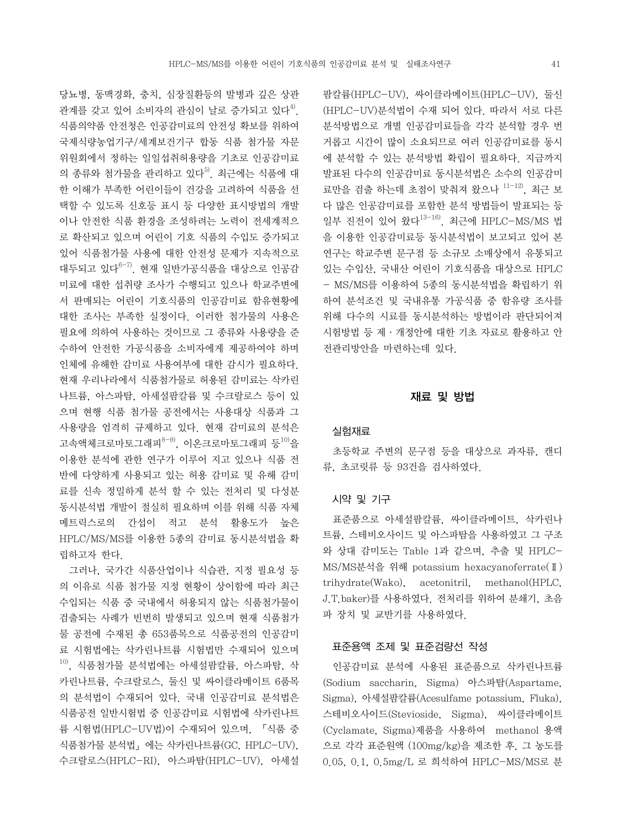당뇨병, 동맥경화, 충치, 심장질환등의 발병과 깊은 상관 관계를 갖고 있어 소비자의 관심이 날로 증가되고 있다<sup>4)</sup>. 식품의약품 안전청은 인공감미료의 안전성 확보를 위하여 국제식량농업기구/세계보건기구 합동 식품 첨가물 자문 위원회에서 정하는 일일섭취허용량을 기초로 인공감미료 의 종류와 첨가물을 관리하고 있다<sup>5)</sup>. 최근에는 식품에 대 한 이해가 부족한 어린이들이 건강을 고려하여 식품을 선 택할 수 있도록 신호등 표시 등 다양한 표시방법의 개발 이나 안전한 식품 환경을 조성하려는 노력이 전세계적으 로 확산되고 있으며 어린이 기호 식품의 수입도 증가되고 있어 식품첨가물 사용에 대한 안전성 문제가 지속적으로 대두되고 있다 $^{6-7}$ . 현재 일반가공식품을 대상으로 인공감 미료에 대한 섭취량 조사가 수행되고 있으나 학교주변에 서 판매되는 어린이 기호식품의 인공감미료 함유현황에 대한 조사는 부족한 실정이다. 이러한 첨가물의 사용은 필요에 의하여 사용하는 것이므로 그 종류와 사용량을 준 수하여 안전한 가공식품을 소비자에게 제공하여야 하며 인체에 유해한 감미료 사용여부에 대한 감시가 필요하다. 현재 우리나라에서 식품첨가물로 허용된 감미료는 삭카린 나트륨, 아스파탐, 아세설팜칼륨 및 수크랄로스 등이 있 으며 현행 식품 첨가물 공전에서는 사용대상 식품과 그 사용량을 엄격히 규제하고 있다. 현재 감미료의 분석은 고속액체크로마토그래피<sup>8-9)</sup>, 이온크로마토그래피 등 $^{10)}$ 을 이용한 분석에 관한 연구가 이루어 지고 있으나 식품 전 반에 다양하게 사용되고 있는 허용 감미료 및 유해 감미 료를 신속 정밀하게 분석 할 수 있는 전처리 및 다성분 동시분석법 개발이 절실히 필요하며 이를 위해 식품 자체 메트릭스로의 간섭이 적고 분석 활용도가 높은 HPLC/MS/MS를 이용한 5종의 감미료 동시분석법을 확 립하고자 한다.

 그러나, 국가간 식품산업이나 식습관, 지정 필요성 등 의 이유로 식품 첨가물 지정 현황이 상이함에 따라 최근 수입되는 식품 중 국내에서 허용되지 않는 식품첨가물이 검출되는 사례가 빈번히 발생되고 있으며 현재 식품첨가 물 공전에 수재된 총 653품목으로 식품공전의 인공감미 료 시험법에는 삭카린나트륨 시험법만 수재되어 있으며  $10$ , 식품첨가물 분석법에는 아세설팜칼륨, 아스파탐, 삭 카린나트륨, 수크랄로스, 둘신 및 싸이클라메이트 6품목 의 분석법이 수재되어 있다. 국내 인공감미료 분석법은 식품공전 일반시험법 중 인공감미료 시험법에 삭카린나트 륨 시험법(HPLC-UV법)이 수재되어 있으며, 「식품 중 식품첨가물 분석법」에는 삭카린나트륨(GC, HPLC-UV), 수크랄로스(HPLC-RI), 아스파탐(HPLC-UV), 아세설

팜칼륨(HPLC-UV), 싸이클라메이트(HPLC-UV), 둘신 (HPLC-UV)분석법이 수재 되어 있다. 따라서 서로 다른 분석방법으로 개별 인공감미료들을 각각 분석할 경우 번 거롭고 시간이 많이 소요되므로 여러 인공감미료를 동시 에 분석할 수 있는 분석방법 확립이 필요하다. 지금까지 발표된 다수의 인공감미료 동시분석법은 소수의 인공감미 료만을 검출 하는데 초점이 맞춰져 왔으나 11-12), 최근 보 다 많은 인공감미료를 포함한 분석 방법들이 발표되는 등 일부 진전이 있어 왔다13-16). 최근에 HPLC-MS/MS 법 을 이용한 인공감미료등 동시분석법이 보고되고 있어 본 연구는 학교주변 문구점 등 소규모 소매상에서 유통되고 있는 수입산, 국내산 어린이 기호식품을 대상으로 HPLC - MS/MS를 이용하여 5종의 동시분석법을 확립하기 위 하여 분석조건 및 국내유통 가공식품 중 함유량 조사를 위해 다수의 시료를 동시분석하는 방법이라 판단되어져 시험방법 등 제 ․ 개정안에 대한 기초 자료로 활용하고 안 전관리방안을 마련하는데 있다.

#### 재료 및 방법

#### 실험재료

 초등학교 주변의 문구점 등을 대상으로 과자류, 캔디 류, 초코릿류 등 93건을 검사하였다.

#### 시약 및 기구

 표준품으로 아세설팜칼륨, 싸이클라메이트, 삭카린나 트륨, 스테비오사이드 및 아스파탐을 사용하였고 그 구조 와 상대 감미도는 Table 1과 같으며, 추출 및 HPLC-MS/MS분석을 위해 potassium hexacyanoferrate(Ⅱ) trihydrate(Wako), acetonitril, methanol(HPLC, J.T.baker)를 사용하였다. 전처리를 위하여 분쇄기, 초음 파 장치 및 교반기를 사용하였다.

#### 표준용액 조제 및 표준검량선 작성

 인공감미료 분석에 사용된 표준품으로 삭카린나트륨 (Sodium saccharin, Sigma) 아스파탐(Aspartame, Sigma), 아세설팜칼륨(Acesulfame potassium, Fluka), 스테비오사이드(Stevioside, Sigma), 싸이클라메이트 (Cyclamate, Sigma)제품을 사용하여 methanol 용액 으로 각각 표준원액 (100mg/kg)을 제조한 후, 그 농도를 0.05, 0.1, 0.5mg/L 로 희석하여 HPLC-MS/MS로 분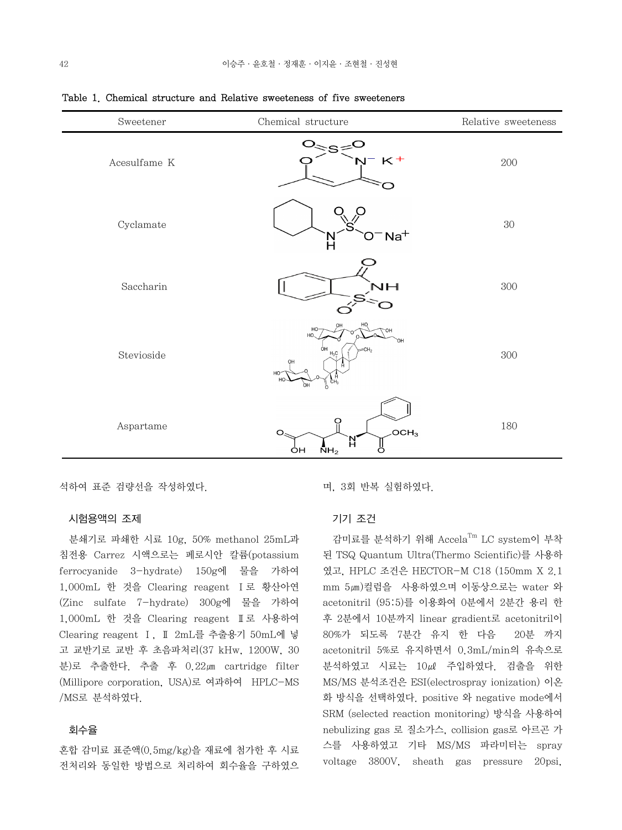| Sweetener    | Chemical structure                                                           | Relative sweeteness |
|--------------|------------------------------------------------------------------------------|---------------------|
| Acesulfame K | ∘≷ອ<br>$N^- K^+$                                                             | 200                 |
| Cyclamate    | $O^-$ Na <sup>+</sup><br>N<br>H                                              | $30\,$              |
| Saccharin    | NН                                                                           | 300                 |
| Stevioside   | HO<br>HO<br>HO.<br>Юŕ<br>ÒН<br>=CH,<br>$H_3C$<br>OH<br>HO <sup>-</sup><br>òн | $300\,$             |
| Aspartame    | O<br>OCH <sub>3</sub><br>O<br>'Nʻ<br>ő<br>NH <sub>2</sub><br>ÒН              | 180                 |

Table 1. Chemical structure and Relative sweeteness of five sweeteners

석하여 표준 검량선을 작성하였다.

#### 시험용액의 조제

 분쇄기로 파쇄한 시료 10g, 50% methanol 25mL과 침전용 Carrez 시액으로는 페로시안 칼륨(potassium ferrocyanide 3-hydrate) 150g에 물을 가하여 1,000mL 한 것을 Clearing reagent Ⅰ로 황산아연 (Zinc sulfate 7-hydrate) 300g에 물을 가하여 1,000mL 한 것을 Clearing reagent Ⅱ로 사용하여 Clearing reagent Ⅰ, Ⅱ 2mL를 추출용기 50mL에 넣 고 교반기로 교반 후 초음파처리(37 kHw, 1200W, 30 분)로 추출한다. 추출 후 0.22㎛ cartridge filter (Millipore corporation, USA)로 여과하여 HPLC-MS /MS로 분석하였다.

#### 회수율

혼합 감미료 표준액(0.5mg/kg)을 재료에 첨가한 후 시료 전처리와 동일한 방법으로 처리하여 회수율을 구하였으

며, 3회 반복 실험하였다.

#### 기기 조건

 감미료를 분석하기 위해 AccelaTm LC system이 부착 된 TSQ Quantum Ultra(Thermo Scientific)를 사용하 였고, HPLC 조건은 HECTOR-M C18 (150mm X 2.1 mm 5㎛)컬럼을 사용하였으며 이동상으로는 water 와 acetonitril (95:5)를 이용화여 0분에서 2분간 용리 한 후 2분에서 10분까지 linear gradient로 acetonitril이 80%가 되도록 7분간 유지 한 다음 20분 까지 acetonitril 5%로 유지하면서 0.3mL/min의 유속으로 분석하였고 시료는 10㎕ 주입하였다. 검출을 위한 MS/MS 분석조건은 ESI(electrospray ionization) 이온 화 방식을 선택하였다. positive 와 negative mode에서 SRM (selected reaction monitoring) 방식을 사용하여 nebulizing gas 로 질소가스, collision gas로 아르곤 가 스를 사용하였고 기타 MS/MS 파라미터는 spray voltage 3800V, sheath gas pressure 20psi,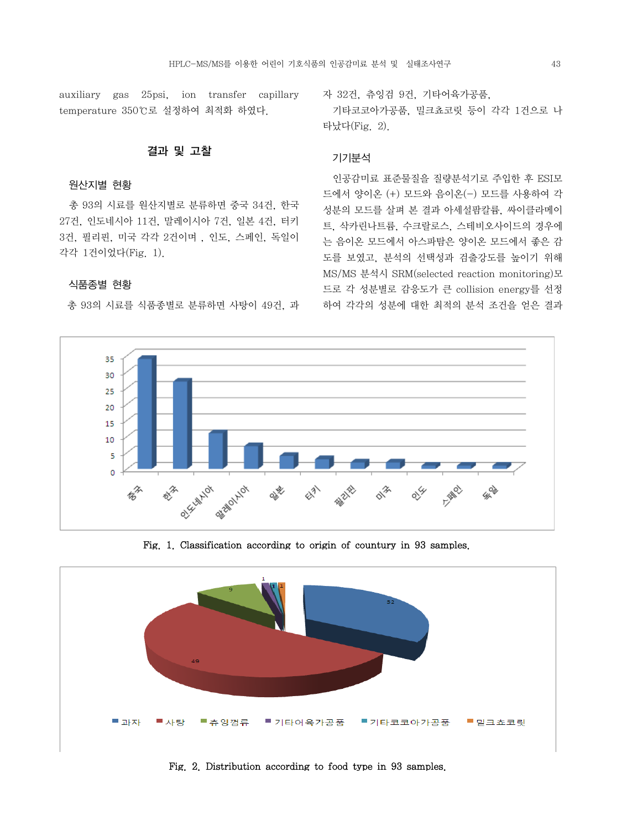auxiliary gas 25psi, ion transfer capillary temperature 350℃로 설정하여 최적화 하였다.

#### 결과 및 고찰

#### 원산지별 현황

 총 93의 시료를 원산지별로 분류하면 중국 34건, 한국 27건, 인도네시아 11건, 말레이시아 7건, 일본 4건, 터키 3건, 필리핀, 미국 각각 2건이며 , 인도, 스페인, 독일이 각각 1건이었다(Fig. 1).

#### 식품종별 현황

총 93의 시료를 식품종별로 분류하면 사탕이 49건, 과

자 32건, 츄잉검 9건, 기타어육가공품,

 기타코코아가공품, 밀크쵸코릿 등이 각각 1건으로 나 타났다(Fig. 2).

#### 기기분석

 인공감미료 표준물질을 질량분석기로 주입한 후 ESI모 드에서 양이온 (+) 모드와 음이온(-) 모드를 사용하여 각 성분의 모드를 살펴 본 결과 아세설팜칼륨, 싸이클라메이 트, 삭카린나트륨, 수크랄로스, 스테비오사이드의 경우에 는 음이온 모드에서 아스파탐은 양이온 모드에서 좋은 감 도를 보였고, 분석의 선택성과 검출강도를 높이기 위해 MS/MS 분석시 SRM(selected reaction monitoring)모 드로 각 성분별로 감응도가 큰 collision energy를 선정 하여 각각의 성분에 대한 최적의 분석 조건을 얻은 결과



Fig. 1. Classification according to origin of countury in 93 samples.



Fig. 2. Distribution according to food type in 93 samples.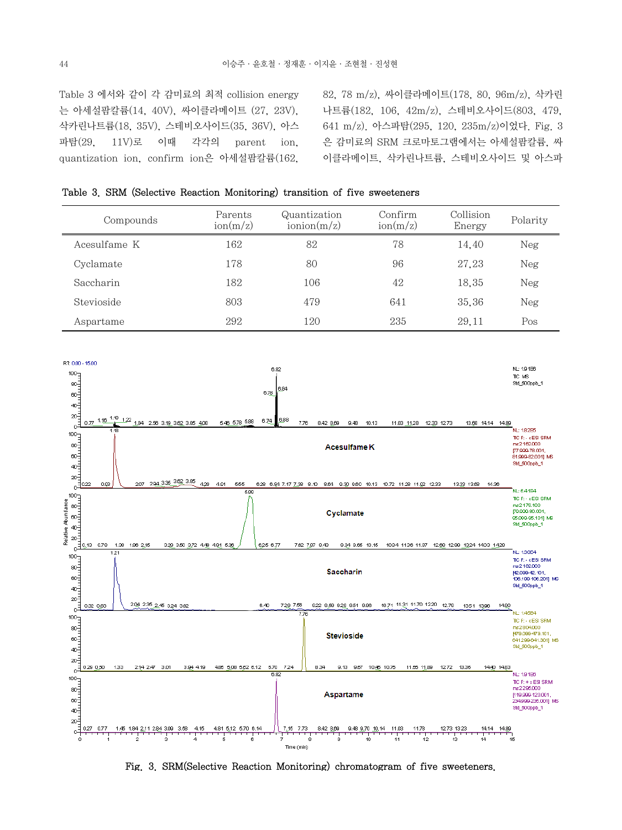Table 3 에서와 같이 각 감미료의 최적 collision energy 는 아세설팜칼륨(14, 40V), 싸이클라메이트 (27, 23V), 삭카린나트륨(18, 35V), 스테비오사이드(35, 36V), 아스 파탐(29, 11V)로 이때 각각의 parent ion, quantization ion, confirm ion은 아세설팜칼륨(162,

82, 78 m/z), 싸이클라메이트(178, 80, 96m/z), 삭카린 나트륨(182, 106, 42m/z), 스테비오사이드(803, 479, 641 m/z). 아스파탐(295, 120, 235m/z)이었다. Fig. 3 은 감미료의 SRM 크로마토그램에서는 아세설팜칼륨, 싸 이클라메이트, 삭카린나트륨, 스테비오사이드 및 아스파

| Compounds    | Parents<br>$\text{ion}(m/z)$ | Quantization<br>$\text{ionion}(m/z)$ | Confirm<br>$\text{ion}(m/z)$ | Collision<br>Energy | Polarity |
|--------------|------------------------------|--------------------------------------|------------------------------|---------------------|----------|
| Acesulfame K | 162                          | 82                                   | 78                           | 14.40               | Neg      |
| Cyclamate    | 178                          | 80                                   | 96                           | 27.23               | Neg      |
| Saccharin    | 182                          | 106                                  | 42                           | 18.35               | Neg      |
| Stevioside   | 803                          | 479                                  | 641                          | 35,36               | Neg      |
| Aspartame    | 292                          | 120                                  | 235                          | 29.11               | Pos      |

|  |  |  |  | Table 3. SRM (Selective Reaction Monitoring) transition of five sweeteners |  |  |  |  |
|--|--|--|--|----------------------------------------------------------------------------|--|--|--|--|
|--|--|--|--|----------------------------------------------------------------------------|--|--|--|--|



Fig. 3. SRM(Selective Reaction Monitoring) chromatogram of five sweeteners.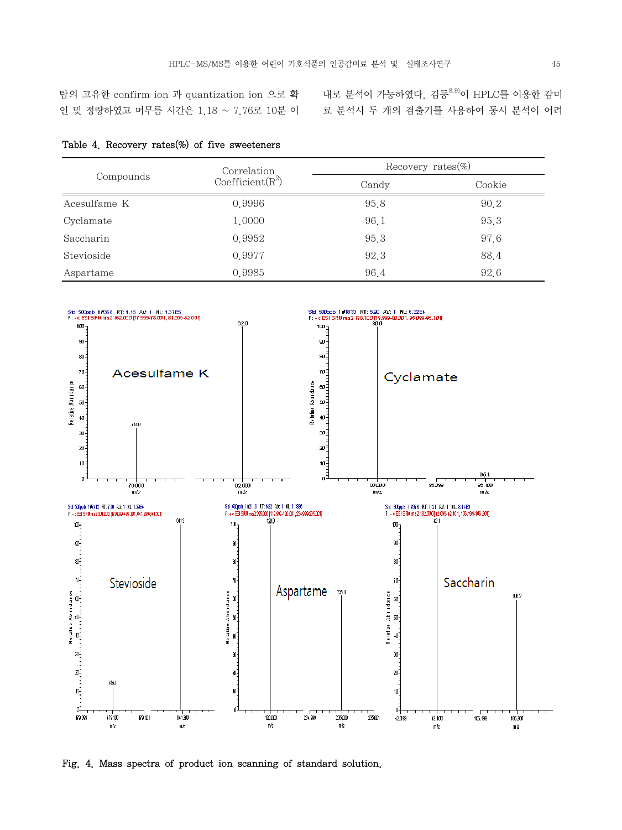탐의 고유한 confirm ion 과 quantization ion 으로 확 인 및 정량하였고 머무름 시간은 1.18 ~ 7.76로 10분 이

내로 분석이 가능하였다. 김등 $^{8,9}$ 이 HPLC를 이용한 감미 료 분석시 두 개의 검출기를 사용하여 동시 분석이 어려

|  |  |  |  |  | Table 4. Recovery rates $(\%)$ of five sweeteners |
|--|--|--|--|--|---------------------------------------------------|
|--|--|--|--|--|---------------------------------------------------|

| Compounds    | Correlation                  | Recovery rates $(\%)$ |        |  |  |
|--------------|------------------------------|-----------------------|--------|--|--|
|              | Coefficient(R <sup>2</sup> ) | Candy                 | Cookie |  |  |
| Acesulfame K | 0.9996                       | 95.8                  | 90.2   |  |  |
| Cyclamate    | 1,0000                       | 96.1                  | 95.3   |  |  |
| Saccharin    | 0.9952                       | 95.3                  | 97.6   |  |  |
| Stevioside   | 0.9977                       | 92.3                  | 88.4   |  |  |
| Aspartame    | 0.9985                       | 96.4                  | 92.6   |  |  |



Fig. 4. Mass spectra of product ion scanning of standard solution.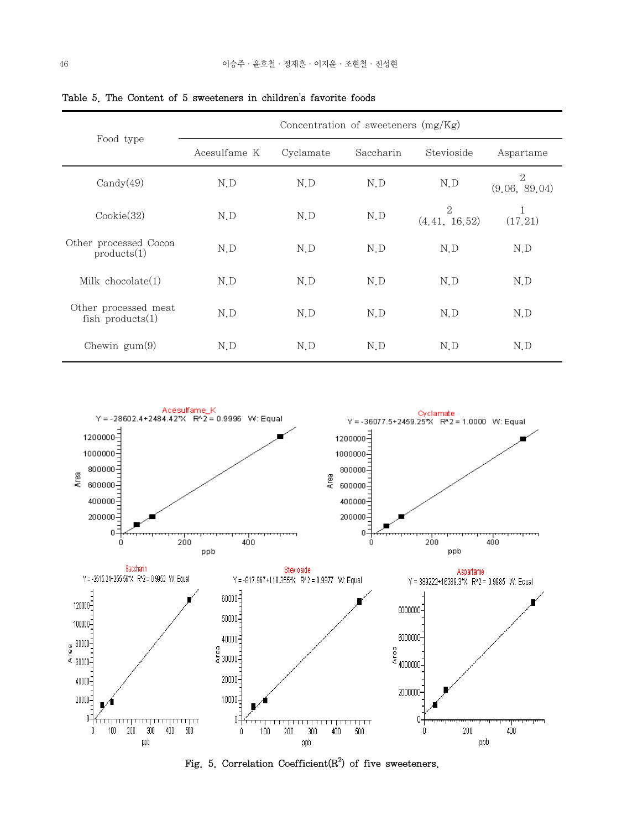| Food type                                   | Concentration of sweeteners $(mg/Kg)$ |           |           |                      |                    |  |
|---------------------------------------------|---------------------------------------|-----------|-----------|----------------------|--------------------|--|
|                                             | Acesulfame K                          | Cyclamate | Saccharin | Stevioside           | Aspartame          |  |
| $\text{Candy}(49)$                          | N.D                                   | N.D       | N.D       | N.D                  | 2<br>(9.06, 89.04) |  |
| $\text{Cookie}(32)$                         | N.D                                   | N.D       | N.D       | 2<br>(4, 41, 16, 52) | 1<br>(17.21)       |  |
| Other processed Cocoa<br>products(1)        | N.D                                   | N.D       | N.D       | N.D                  | N.D                |  |
| Milk chocolate $(1)$                        | N.D                                   | N.D       | N.D       | N.D                  | N.D                |  |
| Other processed meat<br>fish products $(1)$ | N.D                                   | N.D       | N.D       | N.D                  | N.D                |  |
| Chewin $\text{gum}(9)$                      | N.D                                   | N.D       | N.D       | N.D                  | N.D                |  |

Table 5. The Content of 5 sweeteners in children's favorite foods



Fig. 5. Correlation Coefficient $(R^2)$  of five sweeteners.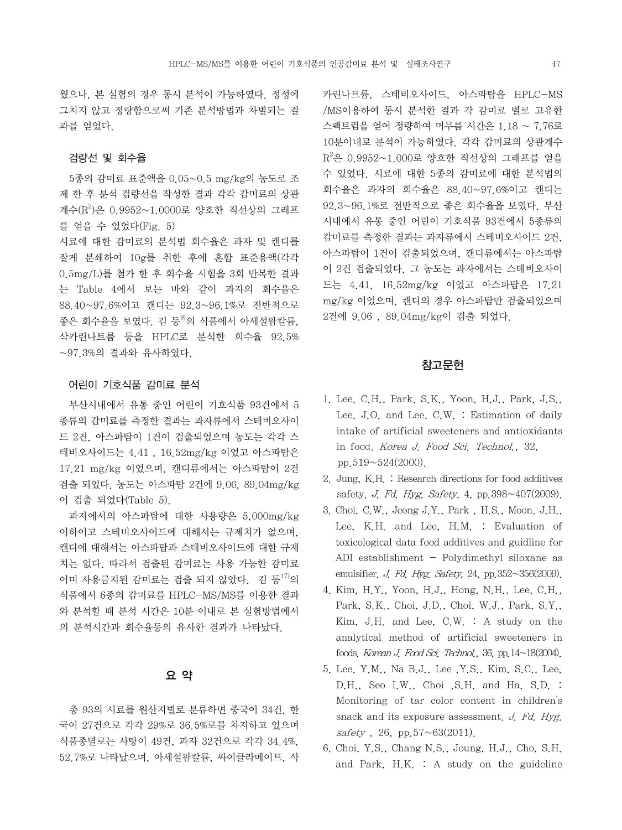웠으나, 본 실험의 경우 동시 분석이 가능하였다. 정성에 그치지 않고 정량함으로써 기존 분석방법과 차별되는 결 과를 얻었다.

#### 검량선 및 회수율

 5종의 감미료 표준액을 0.05~0.5 mg/kg의 농도로 조 제 한 후 분석 검량선을 작성한 결과 각각 감미료의 상관 계수(R<sup>2</sup>)은 0.9952~1.0000로 양호한 직선상의 그래프 를 얻을 수 있었다(Fig. 5)

시료에 대한 감미료의 분석법 회수율은 과자 및 캔디를 잘게 분쇄하여 10g를 취한 후에 혼합 표준용액(각각 0.5mg/L)를 첨가 한 후 회수율 시험을 3회 반복한 결과 는 Table 4에서 보는 바와 같이 과자의 회수율은 88.40~97.6%이고 캔디는 92.3~96.1%로 전반적으로 좋은 회수율을 보였다. 김 등<sup>9)</sup>의 식품에서 아세설팜칼륨, 삭카린나트륨 등을 HPLC로 분석한 회수율 92.5% ~97.3%의 결과와 유사하였다.

#### 어린이 기호식품 감미료 분석

 부산시내에서 유통 중인 어린이 기호식품 93건에서 5 종류의 감미료를 측정한 결과는 과자류에서 스테비오사이 드 2건, 아스파탐이 1건이 검출되었으며 농도는 각각 스 테비오사이드는 4.41 , 16.52mg/kg 이었고 아스파탐은 17.21 mg/kg 이었으며, 캔디류에서는 아스파탐이 2건 검출 되었다. 농도는 아스파탐 2건에 9.06, 89.04mg/kg 이 검출 되었다(Table 5).

 과자에서의 아스파탐에 대한 사용량은 5,000mg/kg 이하이고 스테비오사이드에 대해서는 규제치가 없으며, 캔디에 대해서는 아스파탐과 스테비오사이드에 대한 규제 치는 없다. 따라서 검출된 감미료는 사용 가능한 감미료 이며 사용금지된 감미료는 검출 되지 않았다. 김 등<sup>17)</sup>의 식품에서 6종의 감미료를 HPLC-MS/MS를 이용한 결과 와 분석할 때 분석 시간은 10분 이내로 본 실험방법에서 의 분석시간과 회수율등의 유사한 결과가 나타났다.

#### 요 약

 총 93의 시료를 원산지별로 분류하면 중국이 34건, 한 국이 27건으로 각각 29%로 36.5%로를 차지하고 있으며 식품종별로는 사탕이 49건, 과자 32건으로 각각 34.4%, 52.7%로 나타났으며, 아세설팜칼륨, 싸이클라메이트, 삭 카린나트륨, 스테비오사이드, 아스파탐을 HPLC-MS /MS이용하여 동시 분석한 결과 각 감미료 별로 고유한 스팩트럼을 얻어 정량하여 머무름 시간은 1.18 ~ 7.76로 10분이내로 분석이 가능하였다. 각각 감미료의 상관계수  $\rm R^2$ 은 0.9952~1.000로 양호한 직선상의 그래프를 얻을 수 있었다. 시료에 대한 5종의 감미료에 대한 분석법의 회수율은 과자의 회수율은 88.40~97.6%이고 캔디는 92.3~96.1%로 전반적으로 좋은 회수율을 보였다. 부산 시내에서 유통 중인 어린이 기호식품 93건에서 5종류의 감미료를 측정한 결과는 과자류에서 스테비오사이드 2건, 아스파탐이 1건이 검출되었으며, 캔디류에서는 아스파탐 이 2건 검출되었다. 그 농도는 과자에서는 스테비오사이 드는 4.41, 16.52mg/kg 이었고 아스파탐은 17.21 mg/kg 이었으며, 캔디의 경우 아스파탐만 검출되었으며 2건에 9.06 , 89.04mg/kg이 검출 되었다.

#### 참고문헌

- 1. Lee, C.H., Park. S.K., Yoon, H.J., Park, J.S., Lee, J.O. and Lee, C.W. : Estimation of daily intake of artificial sweeteners and antioxidants in food. Korea J. Food Sci. Technol., 32, pp.519~524(2000).
- 2. Jung, K.H. : Research directions for food additives safety. *J. Fd. Hyg. Safety*, 4, pp.  $398 \sim 407(2009)$ .
- 3. Choi, C.W., Jeong J.Y., Park , H.S., Moon. J.H., Lee, K.H. and Lee, H.M. : Evaluation of toxicological data food additives and guidline for ADI establishment - Polydimethyl siloxane as emulsifier. J. Fd. Hyg. Safety, 24, pp.  $352 \sim 356(2009)$ .
- 4. Kim, H.Y., Yoon, H.J., Hong, N.H., Lee, C.H., Park, S.K., Choi, J.D., Choi, W.J., Park, S.Y., Kim, J.H. and Lee, C.W. : A study on the analytical method of artificial sweeteners in foods. Korean J. Food Sci. Technol., 36, pp.14~18(2004).
- 5. Lee, Y.M., Na B.J., Lee ,Y.S., Kim, S.C., Lee, D.H., Seo I.W., Choi ,S.H. and Ha, S.D. : Monitoring of tar color content in children's snack and its exposure assessment. J. Fd. Hyg.  $safety$ , 26, pp.57~63(2011).
- 6. Choi, Y.S., Chang N.S., Joung, H.J., Cho, S.H. and Park, H.K. : A study on the guideline